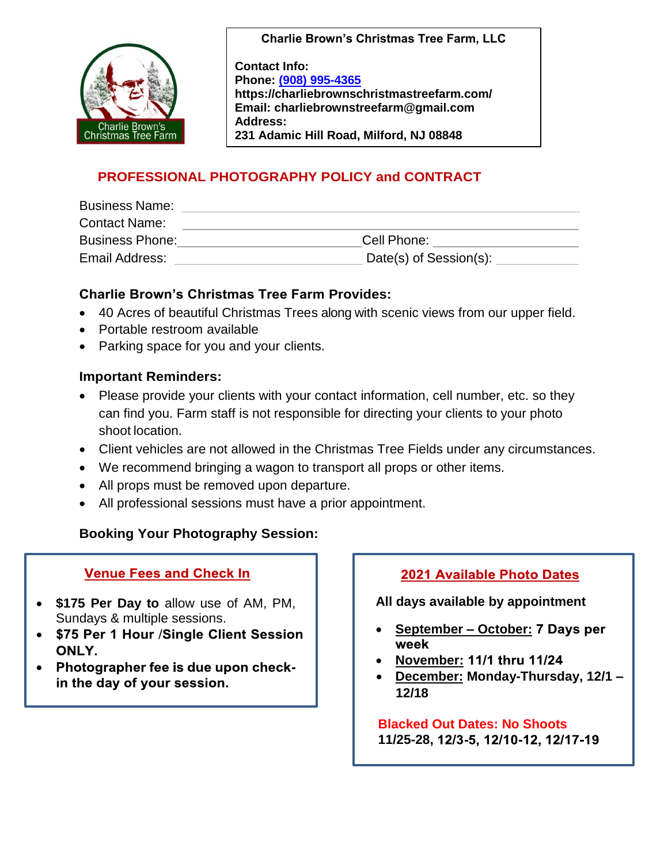

**Charlie Brown's Christmas Tree Farm, LLC**

**Contact Info: Phone: [\(908\) 995-4365](about:blank) https://charliebrownschristmastreefarm.com/ Email: charliebrownstreefarm@gmail.com Address: 231 Adamic Hill Road, Milford, NJ 08848**

## **PROFESSIONAL PHOTOGRAPHY POLICY and CONTRACT**

| <b>Business Name:</b>  |                        |
|------------------------|------------------------|
| <b>Contact Name:</b>   |                        |
| <b>Business Phone:</b> | Cell Phone:            |
| Email Address:         | Date(s) of Session(s): |

#### **Charlie Brown's Christmas Tree Farm Provides:**

- 40 Acres of beautiful Christmas Trees along with scenic views from our upper field.
- Portable restroom available
- Parking space for you and your clients.

#### **Important Reminders:**

- Please provide your clients with your contact information, cell number, etc. so they can find you. Farm staff is not responsible for directing your clients to your photo shoot location.
- Client vehicles are not allowed in the Christmas Tree Fields under any circumstances.
- We recommend bringing a wagon to transport all props or other items.
- All props must be removed upon departure.
- All professional sessions must have a prior appointment.

## **Booking Your Photography Session:**

#### **Venue Fees and Check In**

- **\$175 Per Day to** allow use of AM, PM, Sundays & multiple sessions.
- $\bullet$ \$75 Per 1 Hour /Single Client Session ONLY.
- $\bullet$ Photographer fee is due upon checkin the day of your session.

#### **2021 Available Photo Dates**

**All days available by appointment**

- **September – October:** week
- **November:**
- **December: Monday-Thursday, 12/1 – 12/18**

#### **Blacked Out Dates: No Shoots 11/25-28,**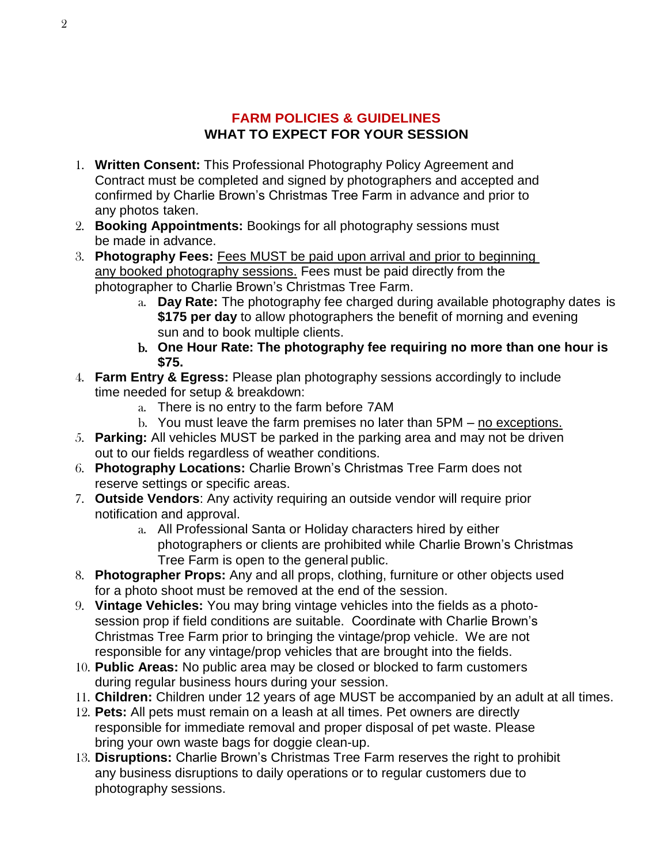## **FARM POLICIES & GUIDELINES WHAT TO EXPECT FOR YOUR SESSION**

- 1. **Written Consent:** This Professional Photography Policy Agreement and Contract must be completed and signed by photographers and accepted and confirmed by Charlie Brown's Christmas Tree Farm in advance and prior to any photos taken.
- 2. **Booking Appointments:** Bookings for all photography sessions must be made in advance.
- 3. **Photography Fees:** Fees MUST be paid upon arrival and prior to beginning any booked photography sessions. Fees must be paid directly from the photographer to Charlie Brown's Christmas Tree Farm.
	- a. **Day Rate:** The photography fee charged during available photography dates is **\$175 per day** to allow photographers the benefit of morning and evening sun and to book multiple clients.
	- b. **One Hour Rate: The photography fee requiring no more than one hour is \$75.**
- 4. **Farm Entry & Egress:** Please plan photography sessions accordingly to include time needed for setup & breakdown:
	- a. There is no entry to the farm before 7AM
	- b. You must leave the farm premises no later than 5PM no exceptions.
- 5. **Parking:** All vehicles MUST be parked in the parking area and may not be driven out to our fields regardless of weather conditions.
- 6. **Photography Locations:** Charlie Brown's Christmas Tree Farm does not reserve settings or specific areas.
- 7. **Outside Vendors**: Any activity requiring an outside vendor will require prior notification and approval.
	- a. All Professional Santa or Holiday characters hired by either photographers or clients are prohibited while Charlie Brown's Christmas Tree Farm is open to the general public.
- 8. **Photographer Props:** Any and all props, clothing, furniture or other objects used for a photo shoot must be removed at the end of the session.
- 9. **Vintage Vehicles:** You may bring vintage vehicles into the fields as a photosession prop if field conditions are suitable. Coordinate with Charlie Brown's Christmas Tree Farm prior to bringing the vintage/prop vehicle. We are not responsible for any vintage/prop vehicles that are brought into the fields.
- 10. **Public Areas:** No public area may be closed or blocked to farm customers during regular business hours during your session.
- 11. **Children:** Children under 12 years of age MUST be accompanied by an adult at all times.
- 12. **Pets:** All pets must remain on a leash at all times. Pet owners are directly responsible for immediate removal and proper disposal of pet waste. Please bring your own waste bags for doggie clean-up.
- 13. **Disruptions:** Charlie Brown's Christmas Tree Farm reserves the right to prohibit any business disruptions to daily operations or to regular customers due to photography sessions.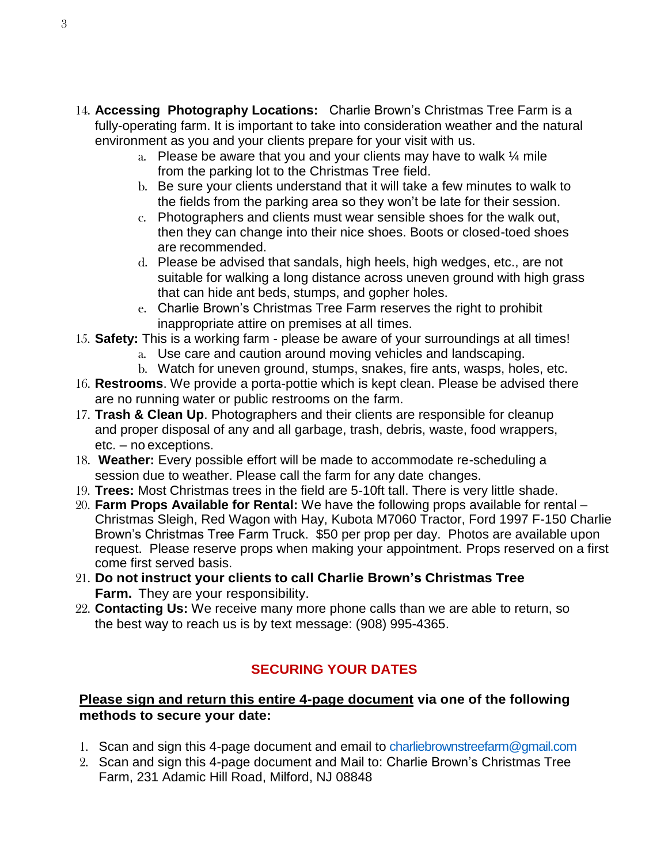- 14. **Accessing Photography Locations:** Charlie Brown's Christmas Tree Farm is a fully-operating farm. It is important to take into consideration weather and the natural environment as you and your clients prepare for your visit with us.
	- a. Please be aware that you and your clients may have to walk  $\frac{1}{4}$  mile from the parking lot to the Christmas Tree field.
	- b. Be sure your clients understand that it will take a few minutes to walk to the fields from the parking area so they won't be late for their session.
	- c. Photographers and clients must wear sensible shoes for the walk out, then they can change into their nice shoes. Boots or closed-toed shoes are recommended.
	- d. Please be advised that sandals, high heels, high wedges, etc., are not suitable for walking a long distance across uneven ground with high grass that can hide ant beds, stumps, and gopher holes.
	- e. Charlie Brown's Christmas Tree Farm reserves the right to prohibit inappropriate attire on premises at all times.
- 15. **Safety:** This is a working farm please be aware of your surroundings at all times!
	- a. Use care and caution around moving vehicles and landscaping.
		- b. Watch for uneven ground, stumps, snakes, fire ants, wasps, holes, etc.
- 16. **Restrooms**. We provide a porta-pottie which is kept clean. Please be advised there are no running water or public restrooms on the farm.
- 17. **Trash & Clean Up**. Photographers and their clients are responsible for cleanup and proper disposal of any and all garbage, trash, debris, waste, food wrappers, etc. – no exceptions.
- 18. **Weather:** Every possible effort will be made to accommodate re-scheduling a session due to weather. Please call the farm for any date changes.
- 19. **Trees:** Most Christmas trees in the field are 5-10ft tall. There is very little shade.
- 20. **Farm Props Available for Rental:** We have the following props available for rental Christmas Sleigh, Red Wagon with Hay, Kubota M7060 Tractor, Ford 1997 F-150 Charlie Brown's Christmas Tree Farm Truck. \$50 per prop per day. Photos are available upon request. Please reserve props when making your appointment. Props reserved on a first come first served basis.
- 21. **Do not instruct your clients to call Charlie Brown's Christmas Tree Farm.** They are your responsibility.
- 22. **Contacting Us:** We receive many more phone calls than we are able to return, so the best way to reach us is by text message: (908) 995-4365.

# **SECURING YOUR DATES**

### **Please sign and return this entire 4-page document via one of the following methods to secure your date:**

- 1. Scan and sign this 4-page document and email to charliebrownstreefarm@gmail.com
- 2. Scan and sign this 4-page document and Mail to: Charlie Brown's Christmas Tree Farm, 231 Adamic Hill Road, Milford, NJ 08848